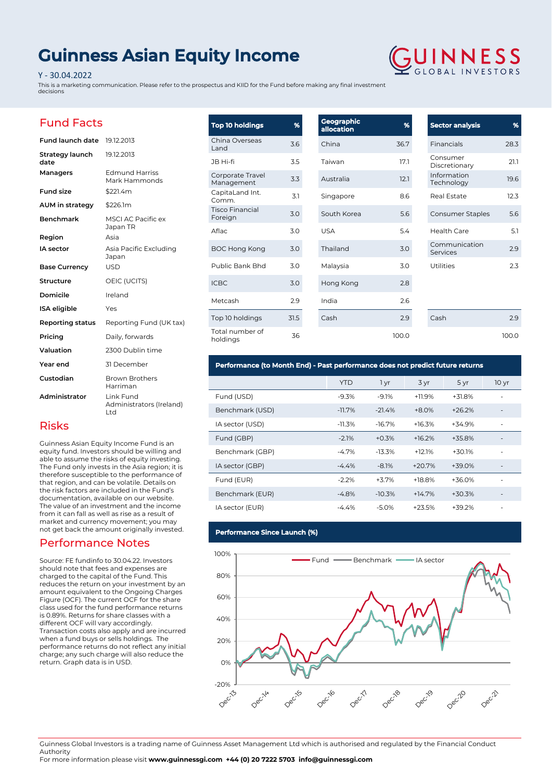# **Guinness Asian Equity Income**

#### Y - 30.04.2022

This is a marketing communication. Please refer to the prospectus and KIID for the Fund before making any final investment decisions



### Fund Facts

Risks

| <b>Fund launch date</b> 19.12.2013 |                                              |
|------------------------------------|----------------------------------------------|
| Strategy launch<br>date            | 19.12.2013                                   |
| Managers                           | <b>Edmund Harriss</b><br>Mark Hammonds       |
| <b>Fund size</b>                   | \$221.4m                                     |
| <b>AUM</b> in strategy             | \$226.1m                                     |
| <b>Benchmark</b>                   | <b>MSCI AC Pacific ex</b><br>Japan TR        |
| Region                             | Asia                                         |
| IA sector                          | Asia Pacific Excluding<br>Japan              |
| <b>Base Currency</b>               | <b>USD</b>                                   |
| Structure                          | OEIC (UCITS)                                 |
| Domicile                           | Ireland                                      |
| <b>ISA</b> eligible                | Yes                                          |
| Reporting status                   | Reporting Fund (UK tax)                      |
| Pricing                            | Daily, forwards                              |
| Valuation                          | 2300 Dublin time                             |
| Year end                           | 31 December                                  |
| Custodian                          | <b>Brown Brothers</b><br>Harriman            |
| Administrator                      | Link Fund<br>Administrators (Ireland)<br>Ltd |

Guinness Asian Equity Income Fund is an equity fund. Investors should be willing and able to assume the risks of equity investing. The Fund only invests in the Asia region; it is therefore susceptible to the performance of that region, and can be volatile. Details on the risk factors are included in the Fund's documentation, available on our website. The value of an investment and the income from it can fall as well as rise as a result of market and currency movement; you may not get back the amount originally invested.

Performance Notes

return. Graph data is in USD.

Source: FE fundinfo to 30.04.22. Investors should note that fees and expenses are charged to the capital of the Fund. This reduces the return on your investment by an amount equivalent to the Ongoing Charges Figure (OCF). The current OCF for the share class used for the fund performance returns is 0.89%. Returns for share classes with a different OCF will vary accordingly.

Transaction costs also apply and are incurred when a fund buys or sells holdings. The performance returns do not reflect any initial charge; any such charge will also reduce the

| <b>Top 10 holdings</b>            | %    | Geographic<br>allocation | %     | Sector an               |
|-----------------------------------|------|--------------------------|-------|-------------------------|
| China Overseas<br>Land            | 3.6  | China                    | 36.7  | Financials              |
| JB Hi-fi                          | 3.5  | Taiwan                   | 17.1  | Consumer<br>Discretion  |
| Corporate Travel<br>Management    | 3.3  | Australia                | 12.1  | Informatio<br>Technolog |
| CapitaLand Int.<br>Comm.          | 3.1  | Singapore                | 8.6   | <b>Real Estat</b>       |
| <b>Tisco Financial</b><br>Foreign | 3.0  | South Korea              | 5.6   | Consumer                |
| Aflac                             | 3.0  | <b>USA</b>               | 5.4   | Health Ca               |
| <b>BOC Hong Kong</b>              | 3.0  | Thailand                 | 3.0   | Communi<br>Services     |
| Public Bank Bhd                   | 3.0  | Malaysia                 | 3.0   | <b>Utilities</b>        |
| <b>ICBC</b>                       | 3.0  | Hong Kong                | 2.8   |                         |
| Metcash                           | 2.9  | India                    | 2.6   |                         |
| Top 10 holdings                   | 31.5 | Cash                     | 2.9   | Cash                    |
| Total number of<br>holdings       | 36   |                          | 100.0 |                         |

## **Sector analysis %** 28.3 Consumer Discretionary 21.1 งท Technology 19.6 Real Estate 12.3 Staples 5.6 Health Care 5.1 cation Services 2.9  $2.3$

2.9 100.0

## **Performance (to Month End) - Past performance does not predict future returns**

|                 | <b>YTD</b> | 1 yr     | 3 yr     | 5 yr     | 10 <sub>yr</sub>         |
|-----------------|------------|----------|----------|----------|--------------------------|
| Fund (USD)      | $-9.3%$    | $-9.1%$  | $+11.9%$ | $+31.8%$ |                          |
| Benchmark (USD) | $-11.7%$   | $-21.4%$ | $+8.0%$  | $+26.2%$ |                          |
| IA sector (USD) | $-11.3%$   | $-16.7%$ | $+16.3%$ | +34.9%   | ٠                        |
| Fund (GBP)      | $-2.1%$    | $+0.3%$  | $+16.2%$ | $+35.8%$ |                          |
| Benchmark (GBP) | $-4.7%$    | $-13.3%$ | $+12.1%$ | $+30.1%$ |                          |
| IA sector (GBP) | $-4.4%$    | $-8.1%$  | $+20.7%$ | +39.0%   |                          |
| Fund (EUR)      | $-2.2%$    | $+3.7%$  | $+18.8%$ | $+36.0%$ |                          |
| Benchmark (EUR) | $-4.8%$    | $-10.3%$ | $+14.7%$ | $+30.3%$ | $\overline{\phantom{0}}$ |
| IA sector (EUR) | $-4.4\%$   | $-5.0%$  | $+23.5%$ | $+39.2%$ |                          |

### **Performance Since Launch (%)**



Guinness Global Investors is a trading name of Guinness Asset Management Ltd which is authorised and regulated by the Financial Conduct Authority

For more information please visit **www.guinnessgi.com +44 (0) 20 7222 5703 info@guinnessgi.com**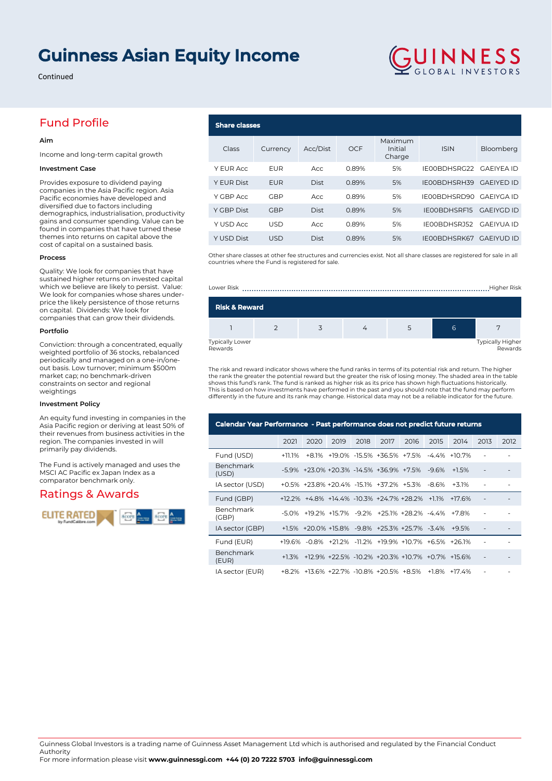# **Guinness Asian Equity Income**

**Share class** 

Rewards

Continued

## Fund Profile

#### **Aim**

Income and long-term capital growth

#### **Investment Case**

Provides exposure to dividend paying companies in the Asia Pacific region. Asia Pacific economies have developed and diversified due to factors including demographics, industrialisation, productivity gains and consumer spending. Value can be found in companies that have turned these themes into returns on capital above the cost of capital on a sustained basis.

#### **Process**

Quality: We look for companies that have sustained higher returns on invested capital which we believe are likely to persist. Value: We look for companies whose shares underprice the likely persistence of those returns on capital. Dividends: We look for companies that can grow their dividends.

#### **Portfolio**

Conviction: through a concentrated, equally weighted portfolio of 36 stocks, rebalanced periodically and managed on a one-in/oneout basis. Low turnover; minimum \$500m market cap; no benchmark-driven constraints on sector and regional weightings

#### **Investment Policy**

An equity fund investing in companies in the Asia Pacific region or deriving at least 50% of their revenues from business activities in the region. The companies invested in will primarily pay dividends.

The Fund is actively managed and uses the MSCI AC Pacific ex Japan Index as a comparator benchmark only.

### Ratings & Awards



 $\mathsf{LUNNESS}_{\text{\tiny\rm{GLOBA~INVESTORS}}}$ 

| Class             | Currency   | Acc/Dist    | <b>OCF</b> | Maximum<br>Initial<br>Charge | <b>ISIN</b>  | Bloomberg         |
|-------------------|------------|-------------|------------|------------------------------|--------------|-------------------|
| Y EUR Acc         | <b>EUR</b> | Acc         | 0.89%      | 5%                           | IE00BDHSRG22 | GAFIYEA ID        |
| <b>Y EUR Dist</b> | <b>EUR</b> | <b>Dist</b> | 0.89%      | 5%                           | IE00BDHSRH39 | <b>GAEIYED ID</b> |
| Y GBP Acc         | <b>GBP</b> | Acc         | 0.89%      | 5%                           | IE00BDHSRD90 | GAEIYGA ID        |
| Y GBP Dist        | <b>GBP</b> | <b>Dist</b> | 0.89%      | 5%                           | IE00BDHSRF15 | <b>GAEIYGD ID</b> |
| Y USD Acc         | <b>USD</b> | Acc         | 0.89%      | 5%                           | IE00BDHSRJ52 | <b>GAEIYUA ID</b> |
| <b>Y USD Dist</b> | <b>USD</b> | Dist        | 0.89%      | 5%                           | IE00BDHSRK67 | <b>GAEIYUD ID</b> |

Other share classes at other fee structures and currencies exist. Not all share classes are registered for sale in all countries where the Fund is registered for sale.



Rewards

The risk and reward indicator shows where the fund ranks in terms of its potential risk and return. The higher the rank the greater the potential reward but the greater the risk of losing money. The shaded area in the table<br>shows this fund's rank. The fund is ranked as higher risk as its price has shown high fluctuations historical This is based on how investments have performed in the past and you should note that the fund may perform differently in the future and its rank may change. Historical data may not be a reliable indicator for the future.

| Calendar Year Performance - Past performance does not predict future returns |        |      |                                                                     |      |      |      |      |         |      |      |
|------------------------------------------------------------------------------|--------|------|---------------------------------------------------------------------|------|------|------|------|---------|------|------|
|                                                                              | 2021   | 2020 | 2019                                                                | 2018 | 2017 | 2016 | 2015 | 2014    | 2013 | 2012 |
| Fund (USD)                                                                   | +11 1% |      | +8.1% +19.0% -15.5% +36.5% +7.5% -4.4% +10.7%                       |      |      |      |      |         |      |      |
| <b>Benchmark</b><br>(USD)                                                    |        |      | -5.9% +23.0% +20.3% -14.5% +36.9% +7.5% -9.6%                       |      |      |      |      | $+1.5%$ |      |      |
| IA sector (USD)                                                              |        |      | +0.5% +23.8% +20.4% -15.1% +37.2% +5.3% -8.6%                       |      |      |      |      | $+3.1%$ |      |      |
| Fund (GBP)                                                                   |        |      | $+12.2\%$ $+4.8\%$ $+14.4\%$ $-10.3\%$ $+24.7\%$ $+28.2\%$ $+1.1\%$ |      |      |      |      | $+176%$ |      |      |
| Benchmark<br>(GBP)                                                           |        |      | -5.0% +19.2% +15.7% -9.2% +25.1% +28.2% -4.4% +7.8%                 |      |      |      |      |         |      |      |
| IA sector (GBP)                                                              |        |      | +1.5% +20.0% +15.8% -9.8% +25.3% +25.7% -3.4% +9.5%                 |      |      |      |      |         |      |      |
| Fund (EUR)                                                                   |        |      | +19.6% -0.8% +21.2% -11.2% +19.9% +10.7% +6.5% +26.1%               |      |      |      |      |         |      |      |
| Benchmark<br>(EUR)                                                           |        |      | +1.3% +12.9% +22.5% -10.2% +20.3% +10.7% +0.7% +15.6%               |      |      |      |      |         |      |      |
| IA sector (EUR)                                                              |        |      | +8.2% +13.6% +22.7% -10.8% +20.5% +8.5% +1.8% +17.4%                |      |      |      |      |         |      |      |

Guinness Global Investors is a trading name of Guinness Asset Management Ltd which is authorised and regulated by the Financial Conduct Authority